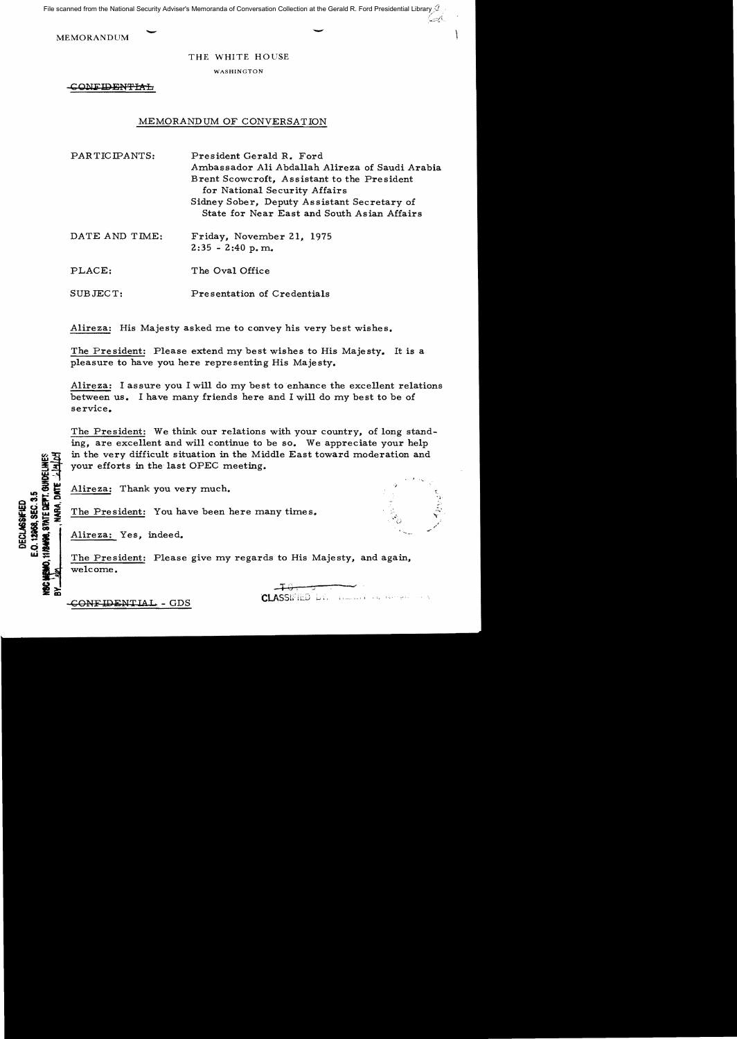File scanned from the National Security Adviser's Memoranda of Conversation Collection at the Gerald R. Ford Presidential Library  $\mathcal Q$ 

MEMORANDUM

## THE WHITE HOUSE

WASHINGTON

CONFIDENTIAL

## MEMORANDUM OF CONVERSATION

PARTICIPANTS: President Gerald R. Ford Ambassador Ali Abdallah Alireza of Saudi Arabia Brent Scowcroft, Assistant to the President for National Security Affairs Sidney Sober, Deputy Assistant Secretary of State for Near East and South Asian Affairs

DATE AND TIME: Friday, November 21, 1975  $2:35 - 2:40$  p.m.

PLACE: The Oval Office

SUBJECT: Presentation of Credentials

Alireza: His Majesty asked me to convey his very best wishes.

The President: Please extend my best wishes to His Majesty. It is a pleasure to have you here representing His Majesty.

Alireza: I assure you I will do my best to enhance the excellent relations between us. I have many friends here and I will do my best to be of service.

The President: We think our relations with your country, of long standing, are excellent and will continue to be so. We appreciate your help in the very difficult situation in the Middle East toward moderation and your efforts in the last OPEC meeting.

Alireza: Thank you very much.

The President: You have been here many times.

Alireza: Yes, indeed.

The President: Please give my regards to His Majesty, and again, welcome.

CLASSIFIED LY. HERNE AN INTERFERENCE

 $\frac{1}{2}$  .

يكاتبون

E.O. 12958. SEC. 3.5 HIANNA, STATE DEP **DECLASSIFIED** 

-CONFIDENTIAL - GDS